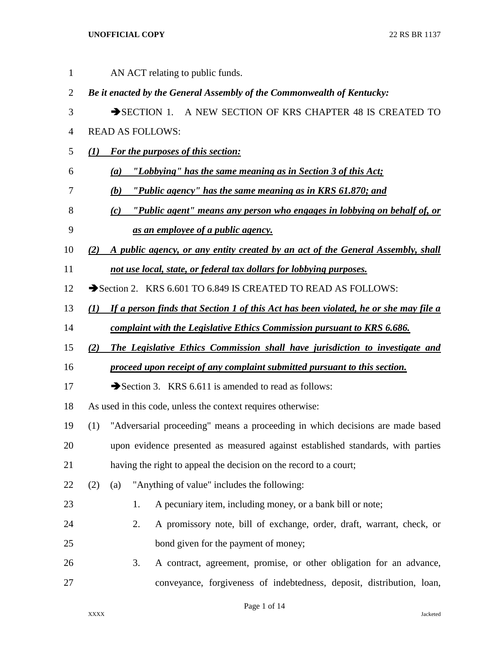| $\mathbf{1}$   |     | AN ACT relating to public funds.                                                            |  |  |  |  |  |
|----------------|-----|---------------------------------------------------------------------------------------------|--|--|--|--|--|
| $\overline{2}$ |     | Be it enacted by the General Assembly of the Commonwealth of Kentucky:                      |  |  |  |  |  |
| 3              |     | SECTION 1. A NEW SECTION OF KRS CHAPTER 48 IS CREATED TO                                    |  |  |  |  |  |
| 4              |     | <b>READ AS FOLLOWS:</b>                                                                     |  |  |  |  |  |
| 5              | (I) | <b>For the purposes of this section:</b>                                                    |  |  |  |  |  |
| 6              |     | "Lobbying" has the same meaning as in Section 3 of this Act;<br>$\left( a\right)$           |  |  |  |  |  |
| 7              |     | "Public agency" has the same meaning as in KRS 61.870; and<br>(b)                           |  |  |  |  |  |
| 8              |     | "Public agent" means any person who engages in lobbying on behalf of, or<br>(c)             |  |  |  |  |  |
| 9              |     | as an employee of a public agency.                                                          |  |  |  |  |  |
| 10             | (2) | A public agency, or any entity created by an act of the General Assembly, shall             |  |  |  |  |  |
| 11             |     | not use local, state, or federal tax dollars for lobbying purposes.                         |  |  |  |  |  |
| 12             |     | Section 2. KRS 6.601 TO 6.849 IS CREATED TO READ AS FOLLOWS:                                |  |  |  |  |  |
| 13             | (I) | <u>If a person finds that Section 1 of this Act has been violated, he or she may file a</u> |  |  |  |  |  |
| 14             |     | complaint with the Legislative Ethics Commission pursuant to KRS 6.686.                     |  |  |  |  |  |
| 15             | (2) | The Legislative Ethics Commission shall have jurisdiction to investigate and                |  |  |  |  |  |
| 16             |     | proceed upon receipt of any complaint submitted pursuant to this section.                   |  |  |  |  |  |
| 17             |     | Section 3. KRS $6.611$ is amended to read as follows:                                       |  |  |  |  |  |
| 18             |     | As used in this code, unless the context requires otherwise:                                |  |  |  |  |  |
| 19             | (1) | "Adversarial proceeding" means a proceeding in which decisions are made based               |  |  |  |  |  |
| 20             |     | upon evidence presented as measured against established standards, with parties             |  |  |  |  |  |
| 21             |     | having the right to appeal the decision on the record to a court;                           |  |  |  |  |  |
| 22             | (2) | "Anything of value" includes the following:<br>(a)                                          |  |  |  |  |  |
| 23             |     | A pecuniary item, including money, or a bank bill or note;<br>1.                            |  |  |  |  |  |
| 24             |     | 2.<br>A promissory note, bill of exchange, order, draft, warrant, check, or                 |  |  |  |  |  |
| 25             |     | bond given for the payment of money;                                                        |  |  |  |  |  |
| 26             |     | A contract, agreement, promise, or other obligation for an advance,<br>3.                   |  |  |  |  |  |
| 27             |     | conveyance, forgiveness of indebtedness, deposit, distribution, loan,                       |  |  |  |  |  |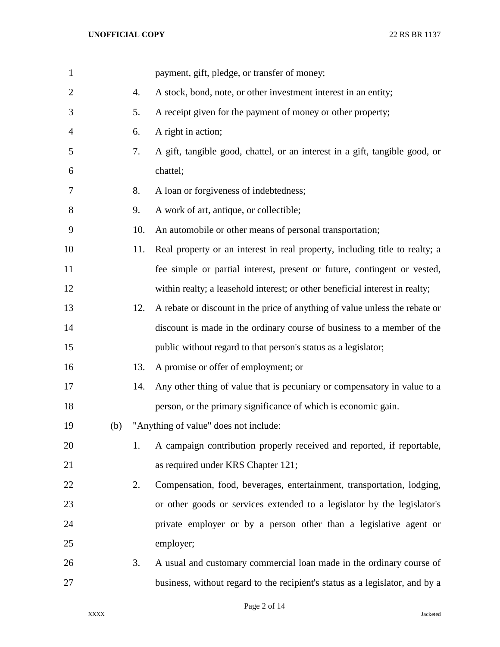| $\mathbf{1}$   |     |     | payment, gift, pledge, or transfer of money;                                 |
|----------------|-----|-----|------------------------------------------------------------------------------|
| $\overline{c}$ |     | 4.  | A stock, bond, note, or other investment interest in an entity;              |
| 3              |     | 5.  | A receipt given for the payment of money or other property;                  |
| 4              |     | 6.  | A right in action;                                                           |
| 5              |     | 7.  | A gift, tangible good, chattel, or an interest in a gift, tangible good, or  |
| 6              |     |     | chattel;                                                                     |
| 7              |     | 8.  | A loan or forgiveness of indebtedness;                                       |
| 8              |     | 9.  | A work of art, antique, or collectible;                                      |
| 9              |     | 10. | An automobile or other means of personal transportation;                     |
| 10             |     | 11. | Real property or an interest in real property, including title to realty; a  |
| 11             |     |     | fee simple or partial interest, present or future, contingent or vested,     |
| 12             |     |     | within realty; a leasehold interest; or other beneficial interest in realty; |
| 13             |     | 12. | A rebate or discount in the price of anything of value unless the rebate or  |
| 14             |     |     | discount is made in the ordinary course of business to a member of the       |
| 15             |     |     | public without regard to that person's status as a legislator;               |
| 16             |     | 13. | A promise or offer of employment; or                                         |
| 17             |     | 14. | Any other thing of value that is pecuniary or compensatory in value to a     |
| 18             |     |     | person, or the primary significance of which is economic gain.               |
| 19             | (b) |     | "Anything of value" does not include:                                        |
| 20             |     | 1.  | A campaign contribution properly received and reported, if reportable,       |
| 21             |     |     | as required under KRS Chapter 121;                                           |
| 22             |     | 2.  | Compensation, food, beverages, entertainment, transportation, lodging,       |
| 23             |     |     | or other goods or services extended to a legislator by the legislator's      |
| 24             |     |     | private employer or by a person other than a legislative agent or            |
| 25             |     |     | employer;                                                                    |
| 26             |     | 3.  | A usual and customary commercial loan made in the ordinary course of         |
| 27             |     |     | business, without regard to the recipient's status as a legislator, and by a |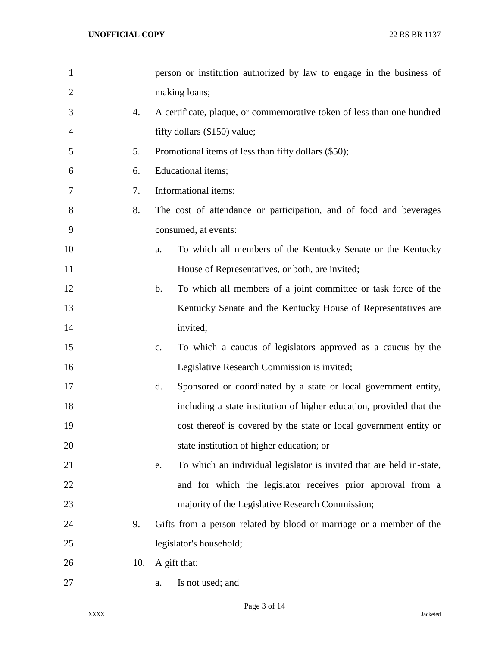| $\mathbf{1}$   |     | person or institution authorized by law to engage in the business of             |
|----------------|-----|----------------------------------------------------------------------------------|
| $\overline{2}$ |     | making loans;                                                                    |
| 3              | 4.  | A certificate, plaque, or commemorative token of less than one hundred           |
| 4              |     | fifty dollars (\$150) value;                                                     |
| 5              | 5.  | Promotional items of less than fifty dollars (\$50);                             |
| 6              | 6.  | Educational items;                                                               |
| 7              | 7.  | Informational items;                                                             |
| 8              | 8.  | The cost of attendance or participation, and of food and beverages               |
| 9              |     | consumed, at events:                                                             |
| 10             |     | To which all members of the Kentucky Senate or the Kentucky<br>a.                |
| 11             |     | House of Representatives, or both, are invited;                                  |
| 12             |     | To which all members of a joint committee or task force of the<br>$\mathbf{b}$ . |
| 13             |     | Kentucky Senate and the Kentucky House of Representatives are                    |
| 14             |     | invited;                                                                         |
| 15             |     | To which a caucus of legislators approved as a caucus by the<br>c.               |
| 16             |     | Legislative Research Commission is invited;                                      |
| 17             |     | Sponsored or coordinated by a state or local government entity,<br>d.            |
| 18             |     | including a state institution of higher education, provided that the             |
| 19             |     | cost thereof is covered by the state or local government entity or               |
| 20             |     | state institution of higher education; or                                        |
| 21             |     | To which an individual legislator is invited that are held in-state,<br>e.       |
| 22             |     | and for which the legislator receives prior approval from a                      |
| 23             |     | majority of the Legislative Research Commission;                                 |
| 24             | 9.  | Gifts from a person related by blood or marriage or a member of the              |
| 25             |     | legislator's household;                                                          |
| 26             | 10. | A gift that:                                                                     |
| 27             |     | Is not used; and<br>a.                                                           |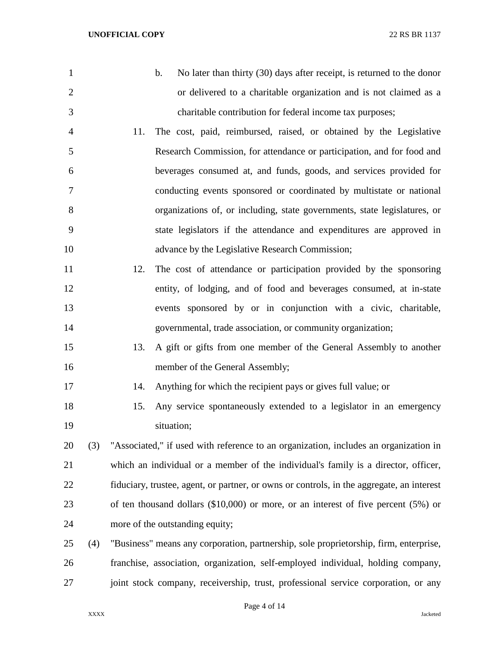b. No later than thirty (30) days after receipt, is returned to the donor or delivered to a charitable organization and is not claimed as a charitable contribution for federal income tax purposes; 11. The cost, paid, reimbursed, raised, or obtained by the Legislative Research Commission, for attendance or participation, and for food and beverages consumed at, and funds, goods, and services provided for conducting events sponsored or coordinated by multistate or national organizations of, or including, state governments, state legislatures, or state legislators if the attendance and expenditures are approved in advance by the Legislative Research Commission; 12. The cost of attendance or participation provided by the sponsoring entity, of lodging, and of food and beverages consumed, at in-state events sponsored by or in conjunction with a civic, charitable, governmental, trade association, or community organization; 13. A gift or gifts from one member of the General Assembly to another 16 member of the General Assembly; 14. Anything for which the recipient pays or gives full value; or 15. Any service spontaneously extended to a legislator in an emergency situation; (3) "Associated," if used with reference to an organization, includes an organization in which an individual or a member of the individual's family is a director, officer, fiduciary, trustee, agent, or partner, or owns or controls, in the aggregate, an interest of ten thousand dollars (\$10,000) or more, or an interest of five percent (5%) or more of the outstanding equity; (4) "Business" means any corporation, partnership, sole proprietorship, firm, enterprise, franchise, association, organization, self-employed individual, holding company, joint stock company, receivership, trust, professional service corporation, or any

Page 4 of 14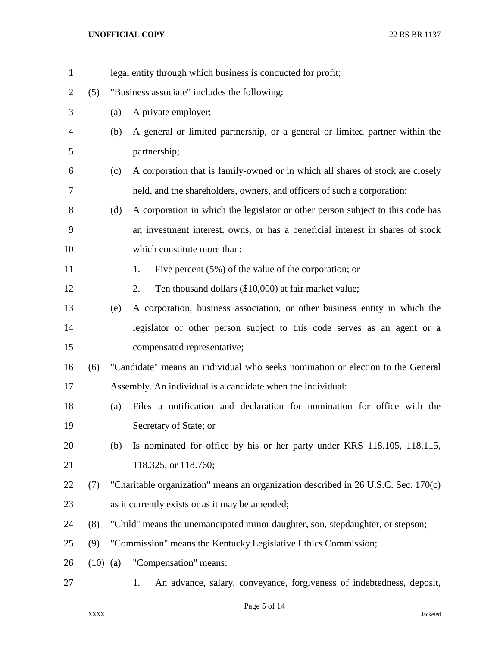| $\mathbf{1}$   |            |     | legal entity through which business is conducted for profit;                       |  |  |  |
|----------------|------------|-----|------------------------------------------------------------------------------------|--|--|--|
| $\overline{2}$ | (5)        |     | "Business associate" includes the following:                                       |  |  |  |
| 3              |            | (a) | A private employer;                                                                |  |  |  |
| 4              |            | (b) | A general or limited partnership, or a general or limited partner within the       |  |  |  |
| 5              |            |     | partnership;                                                                       |  |  |  |
| 6              |            | (c) | A corporation that is family-owned or in which all shares of stock are closely     |  |  |  |
| 7              |            |     | held, and the shareholders, owners, and officers of such a corporation;            |  |  |  |
| 8              |            | (d) | A corporation in which the legislator or other person subject to this code has     |  |  |  |
| 9              |            |     | an investment interest, owns, or has a beneficial interest in shares of stock      |  |  |  |
| 10             |            |     | which constitute more than:                                                        |  |  |  |
| 11             |            |     | Five percent $(5\%)$ of the value of the corporation; or<br>1.                     |  |  |  |
| 12             |            |     | Ten thousand dollars (\$10,000) at fair market value;<br>2.                        |  |  |  |
| 13             |            | (e) | A corporation, business association, or other business entity in which the         |  |  |  |
| 14             |            |     | legislator or other person subject to this code serves as an agent or a            |  |  |  |
| 15             |            |     | compensated representative;                                                        |  |  |  |
| 16             | (6)        |     | "Candidate" means an individual who seeks nomination or election to the General    |  |  |  |
| 17             |            |     | Assembly. An individual is a candidate when the individual:                        |  |  |  |
| 18             |            | (a) | Files a notification and declaration for nomination for office with the            |  |  |  |
| 19             |            |     | Secretary of State; or                                                             |  |  |  |
| 20             |            | (b) | Is nominated for office by his or her party under KRS 118.105, 118.115,            |  |  |  |
| 21             |            |     | 118.325, or 118.760;                                                               |  |  |  |
| 22             | (7)        |     | "Charitable organization" means an organization described in 26 U.S.C. Sec. 170(c) |  |  |  |
| 23             |            |     | as it currently exists or as it may be amended;                                    |  |  |  |
| 24             | (8)        |     | "Child" means the unemancipated minor daughter, son, stepdaughter, or stepson;     |  |  |  |
| 25             | (9)        |     | "Commission" means the Kentucky Legislative Ethics Commission;                     |  |  |  |
| 26             | $(10)$ (a) |     | "Compensation" means:                                                              |  |  |  |
| 27             |            |     | An advance, salary, conveyance, forgiveness of indebtedness, deposit,<br>1.        |  |  |  |

## Page 5 of 14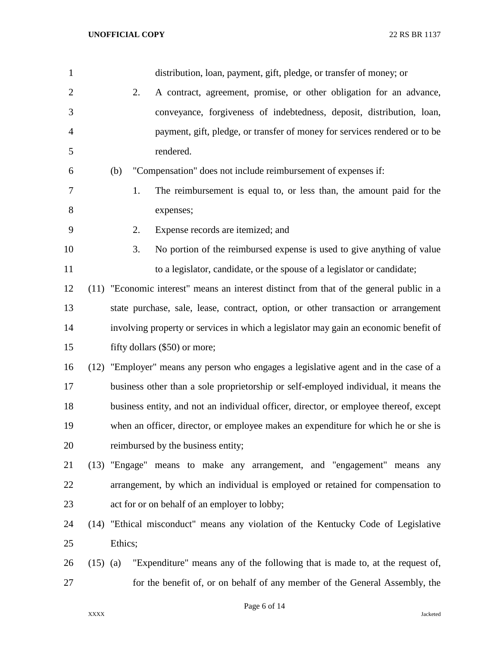| $\mathbf{1}$   |            |         |    | distribution, loan, payment, gift, pledge, or transfer of money; or                      |
|----------------|------------|---------|----|------------------------------------------------------------------------------------------|
| $\overline{2}$ |            |         | 2. | A contract, agreement, promise, or other obligation for an advance,                      |
| 3              |            |         |    | conveyance, forgiveness of indebtedness, deposit, distribution, loan,                    |
| 4              |            |         |    | payment, gift, pledge, or transfer of money for services rendered or to be               |
| 5              |            |         |    | rendered.                                                                                |
| 6              |            | (b)     |    | "Compensation" does not include reimbursement of expenses if:                            |
| 7              |            |         | 1. | The reimbursement is equal to, or less than, the amount paid for the                     |
| 8              |            |         |    | expenses;                                                                                |
| 9              |            |         | 2. | Expense records are itemized; and                                                        |
| 10             |            |         | 3. | No portion of the reimbursed expense is used to give anything of value                   |
| 11             |            |         |    | to a legislator, candidate, or the spouse of a legislator or candidate;                  |
| 12             |            |         |    | (11) "Economic interest" means an interest distinct from that of the general public in a |
| 13             |            |         |    | state purchase, sale, lease, contract, option, or other transaction or arrangement       |
| 14             |            |         |    | involving property or services in which a legislator may gain an economic benefit of     |
| 15             |            |         |    | fifty dollars (\$50) or more;                                                            |
| 16             |            |         |    | (12) "Employer" means any person who engages a legislative agent and in the case of a    |
| 17             |            |         |    | business other than a sole proprietorship or self-employed individual, it means the      |
| 18             |            |         |    | business entity, and not an individual officer, director, or employee thereof, except    |
| 19             |            |         |    | when an officer, director, or employee makes an expenditure for which he or she is       |
| 20             |            |         |    | reimbursed by the business entity;                                                       |
| 21             |            |         |    | (13) "Engage" means to make any arrangement, and "engagement" means any                  |
| 22             |            |         |    | arrangement, by which an individual is employed or retained for compensation to          |
| 23             |            |         |    | act for or on behalf of an employer to lobby;                                            |
| 24             |            |         |    | (14) "Ethical misconduct" means any violation of the Kentucky Code of Legislative        |
| 25             |            | Ethics; |    |                                                                                          |
| 26             | $(15)$ (a) |         |    | "Expenditure" means any of the following that is made to, at the request of,             |
| 27             |            |         |    | for the benefit of, or on behalf of any member of the General Assembly, the              |

Page 6 of 14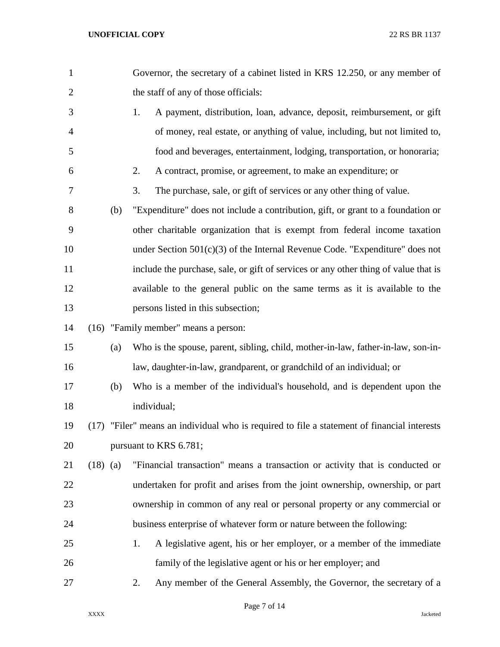| $\mathbf{1}$   |            |     | Governor, the secretary of a cabinet listed in KRS 12.250, or any member of                 |
|----------------|------------|-----|---------------------------------------------------------------------------------------------|
| $\mathbf{2}$   |            |     | the staff of any of those officials:                                                        |
| 3              |            |     | A payment, distribution, loan, advance, deposit, reimbursement, or gift<br>1.               |
| $\overline{4}$ |            |     | of money, real estate, or anything of value, including, but not limited to,                 |
| 5              |            |     | food and beverages, entertainment, lodging, transportation, or honoraria;                   |
| 6              |            |     | 2.<br>A contract, promise, or agreement, to make an expenditure; or                         |
| 7              |            |     | 3.<br>The purchase, sale, or gift of services or any other thing of value.                  |
| 8              |            | (b) | "Expenditure" does not include a contribution, gift, or grant to a foundation or            |
| 9              |            |     | other charitable organization that is exempt from federal income taxation                   |
| 10             |            |     | under Section $501(c)(3)$ of the Internal Revenue Code. "Expenditure" does not              |
| 11             |            |     | include the purchase, sale, or gift of services or any other thing of value that is         |
| 12             |            |     | available to the general public on the same terms as it is available to the                 |
| 13             |            |     | persons listed in this subsection;                                                          |
| 14             |            |     | (16) "Family member" means a person:                                                        |
| 15             |            | (a) | Who is the spouse, parent, sibling, child, mother-in-law, father-in-law, son-in-            |
| 16             |            |     | law, daughter-in-law, grandparent, or grandchild of an individual; or                       |
| 17             |            | (b) | Who is a member of the individual's household, and is dependent upon the                    |
| 18             |            |     | individual;                                                                                 |
| 19             |            |     | (17) "Filer" means an individual who is required to file a statement of financial interests |
| 20             |            |     | pursuant to KRS 6.781;                                                                      |
| 21             | $(18)$ (a) |     | "Financial transaction" means a transaction or activity that is conducted or                |
| 22             |            |     | undertaken for profit and arises from the joint ownership, ownership, or part               |
| 23             |            |     | ownership in common of any real or personal property or any commercial or                   |
| 24             |            |     | business enterprise of whatever form or nature between the following:                       |
| 25             |            |     | A legislative agent, his or her employer, or a member of the immediate<br>1.                |
| 26             |            |     | family of the legislative agent or his or her employer; and                                 |
| 27             |            |     | Any member of the General Assembly, the Governor, the secretary of a<br>2.                  |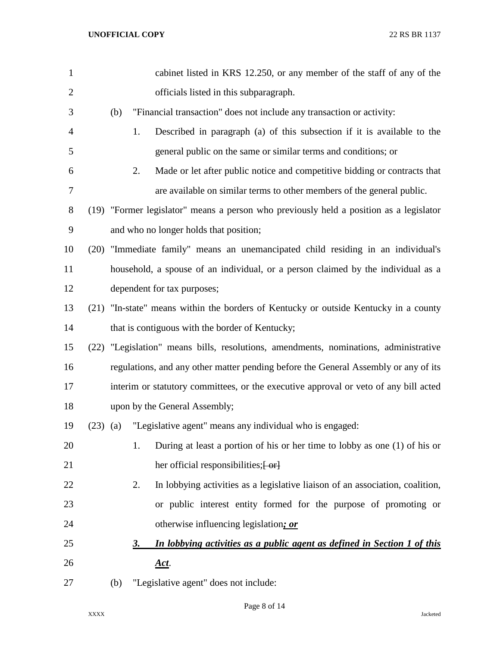| $\mathbf{1}$   |            |     |    | cabinet listed in KRS 12.250, or any member of the staff of any of the                 |
|----------------|------------|-----|----|----------------------------------------------------------------------------------------|
| $\overline{2}$ |            |     |    | officials listed in this subparagraph.                                                 |
| 3              |            | (b) |    | "Financial transaction" does not include any transaction or activity:                  |
| 4              |            |     | 1. | Described in paragraph (a) of this subsection if it is available to the                |
| 5              |            |     |    | general public on the same or similar terms and conditions; or                         |
| 6              |            |     | 2. | Made or let after public notice and competitive bidding or contracts that              |
| 7              |            |     |    | are available on similar terms to other members of the general public.                 |
| 8              |            |     |    | (19) "Former legislator" means a person who previously held a position as a legislator |
| 9              |            |     |    | and who no longer holds that position;                                                 |
| 10             | (20)       |     |    | "Immediate family" means an unemancipated child residing in an individual's            |
| 11             |            |     |    | household, a spouse of an individual, or a person claimed by the individual as a       |
| 12             |            |     |    | dependent for tax purposes;                                                            |
| 13             |            |     |    | (21) "In-state" means within the borders of Kentucky or outside Kentucky in a county   |
| 14             |            |     |    | that is contiguous with the border of Kentucky;                                        |
| 15             | (22)       |     |    | "Legislation" means bills, resolutions, amendments, nominations, administrative        |
| 16             |            |     |    | regulations, and any other matter pending before the General Assembly or any of its    |
| 17             |            |     |    | interim or statutory committees, or the executive approval or veto of any bill acted   |
| 18             |            |     |    | upon by the General Assembly;                                                          |
| 19             | $(23)$ (a) |     |    | "Legislative agent" means any individual who is engaged:                               |
| 20             |            |     | 1. | During at least a portion of his or her time to lobby as one (1) of his or             |
| 21             |            |     |    | her official responsibilities; [-or]                                                   |
| 22             |            |     | 2. | In lobbying activities as a legislative liaison of an association, coalition,          |
| 23             |            |     |    | or public interest entity formed for the purpose of promoting or                       |
| 24             |            |     |    | otherwise influencing legislation; or                                                  |
| 25             |            |     | 3. | In lobbying activities as a public agent as defined in Section 1 of this               |
| 26             |            |     |    | <u>Act</u> .                                                                           |
| 27             |            | (b) |    | "Legislative agent" does not include:                                                  |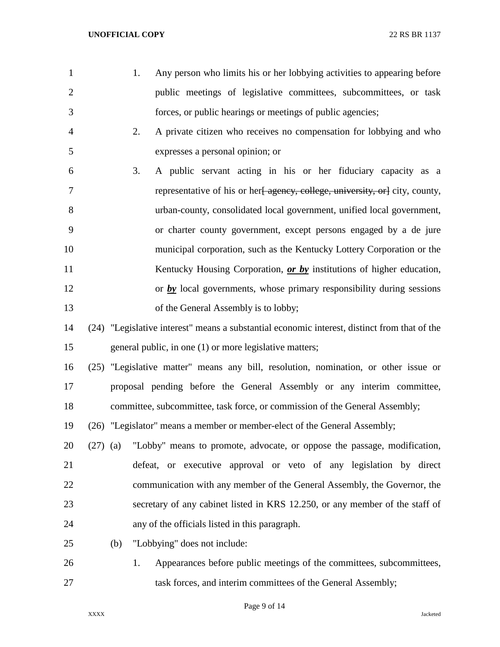- 
- 1. Any person who limits his or her lobbying activities to appearing before public meetings of legislative committees, subcommittees, or task forces, or public hearings or meetings of public agencies;
	- 2. A private citizen who receives no compensation for lobbying and who expresses a personal opinion; or
- 3. A public servant acting in his or her fiduciary capacity as a 7 representative of his or her<del>[ agency, college, university, or]</del> city, county, urban-county, consolidated local government, unified local government, or charter county government, except persons engaged by a de jure municipal corporation, such as the Kentucky Lottery Corporation or the 11 Kentucky Housing Corporation, *or by* institutions of higher education, 12 or *by* local governments, whose primary responsibility during sessions 13 of the General Assembly is to lobby;
- (24) "Legislative interest" means a substantial economic interest, distinct from that of the general public, in one (1) or more legislative matters;
- (25) "Legislative matter" means any bill, resolution, nomination, or other issue or proposal pending before the General Assembly or any interim committee, committee, subcommittee, task force, or commission of the General Assembly;
- (26) "Legislator" means a member or member-elect of the General Assembly;
- (27) (a) "Lobby" means to promote, advocate, or oppose the passage, modification, defeat, or executive approval or veto of any legislation by direct communication with any member of the General Assembly, the Governor, the secretary of any cabinet listed in KRS 12.250, or any member of the staff of any of the officials listed in this paragraph.
- (b) "Lobbying" does not include:
- 1. Appearances before public meetings of the committees, subcommittees, 27 task forces, and interim committees of the General Assembly;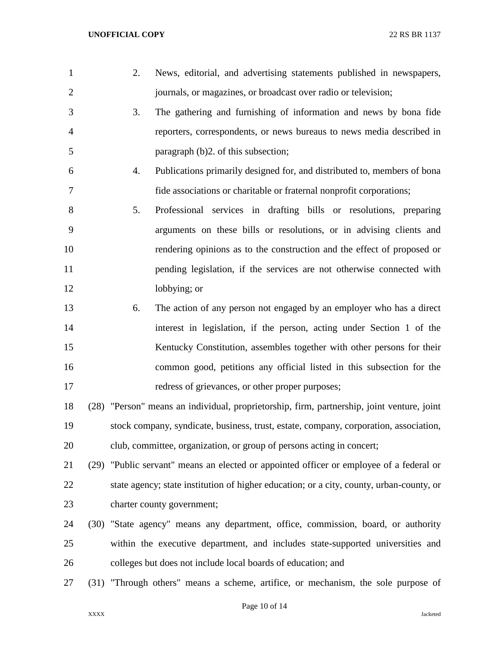| $\mathbf{1}$   | 2. | News, editorial, and advertising statements published in newspapers,                       |
|----------------|----|--------------------------------------------------------------------------------------------|
| $\overline{2}$ |    | journals, or magazines, or broadcast over radio or television;                             |
| 3              | 3. | The gathering and furnishing of information and news by bona fide                          |
| $\overline{4}$ |    | reporters, correspondents, or news bureaus to news media described in                      |
| 5              |    | paragraph (b)2. of this subsection;                                                        |
| 6              | 4. | Publications primarily designed for, and distributed to, members of bona                   |
| 7              |    | fide associations or charitable or fraternal nonprofit corporations;                       |
| $8\,$          | 5. | Professional services in drafting bills or resolutions, preparing                          |
| 9              |    | arguments on these bills or resolutions, or in advising clients and                        |
| 10             |    | rendering opinions as to the construction and the effect of proposed or                    |
| 11             |    | pending legislation, if the services are not otherwise connected with                      |
| 12             |    | lobbying; or                                                                               |
| 13             | 6. | The action of any person not engaged by an employer who has a direct                       |
| 14             |    | interest in legislation, if the person, acting under Section 1 of the                      |
| 15             |    | Kentucky Constitution, assembles together with other persons for their                     |
| 16             |    | common good, petitions any official listed in this subsection for the                      |
| 17             |    | redress of grievances, or other proper purposes;                                           |
| 18             |    | (28) "Person" means an individual, proprietorship, firm, partnership, joint venture, joint |
| 19             |    | stock company, syndicate, business, trust, estate, company, corporation, association,      |
| 20             |    | club, committee, organization, or group of persons acting in concert;                      |
| 21             |    | (29) "Public servant" means an elected or appointed officer or employee of a federal or    |
| 22             |    | state agency; state institution of higher education; or a city, county, urban-county, or   |
| 23             |    | charter county government;                                                                 |
| 24             |    | (30) "State agency" means any department, office, commission, board, or authority          |
| 25             |    | within the executive department, and includes state-supported universities and             |
| 26             |    | colleges but does not include local boards of education; and                               |
| 27             |    | (31) "Through others" means a scheme, artifice, or mechanism, the sole purpose of          |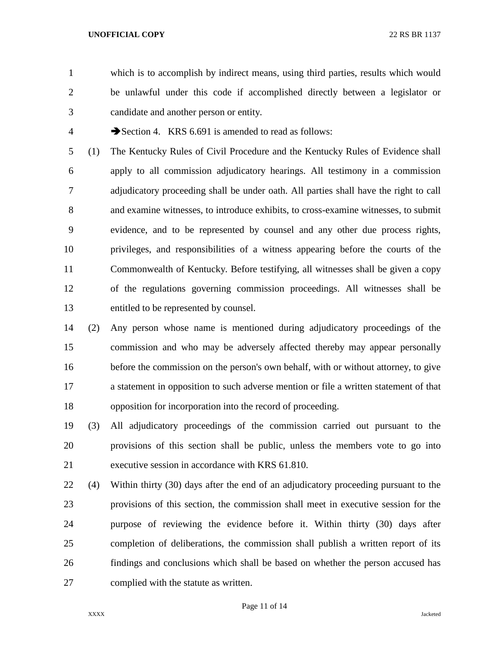which is to accomplish by indirect means, using third parties, results which would be unlawful under this code if accomplished directly between a legislator or candidate and another person or entity.

4 Section 4. KRS 6.691 is amended to read as follows:

 (1) The Kentucky Rules of Civil Procedure and the Kentucky Rules of Evidence shall apply to all commission adjudicatory hearings. All testimony in a commission adjudicatory proceeding shall be under oath. All parties shall have the right to call and examine witnesses, to introduce exhibits, to cross-examine witnesses, to submit evidence, and to be represented by counsel and any other due process rights, privileges, and responsibilities of a witness appearing before the courts of the Commonwealth of Kentucky. Before testifying, all witnesses shall be given a copy of the regulations governing commission proceedings. All witnesses shall be entitled to be represented by counsel.

- (2) Any person whose name is mentioned during adjudicatory proceedings of the commission and who may be adversely affected thereby may appear personally before the commission on the person's own behalf, with or without attorney, to give a statement in opposition to such adverse mention or file a written statement of that opposition for incorporation into the record of proceeding.
- (3) All adjudicatory proceedings of the commission carried out pursuant to the provisions of this section shall be public, unless the members vote to go into executive session in accordance with KRS 61.810.
- (4) Within thirty (30) days after the end of an adjudicatory proceeding pursuant to the provisions of this section, the commission shall meet in executive session for the purpose of reviewing the evidence before it. Within thirty (30) days after completion of deliberations, the commission shall publish a written report of its findings and conclusions which shall be based on whether the person accused has complied with the statute as written.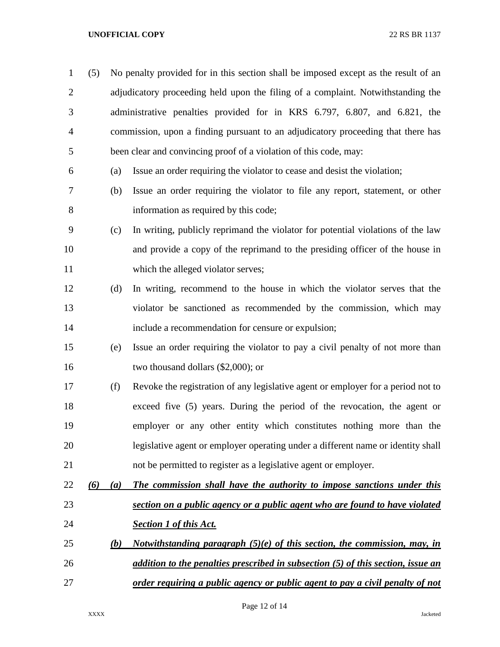| $\mathbf{1}$   | (5) |     | No penalty provided for in this section shall be imposed except as the result of an |  |  |  |  |
|----------------|-----|-----|-------------------------------------------------------------------------------------|--|--|--|--|
| $\overline{2}$ |     |     | adjudicatory proceeding held upon the filing of a complaint. Notwithstanding the    |  |  |  |  |
| 3              |     |     | administrative penalties provided for in KRS 6.797, 6.807, and 6.821, the           |  |  |  |  |
| 4              |     |     | commission, upon a finding pursuant to an adjudicatory proceeding that there has    |  |  |  |  |
| 5              |     |     | been clear and convincing proof of a violation of this code, may:                   |  |  |  |  |
| 6              |     | (a) | Issue an order requiring the violator to cease and desist the violation;            |  |  |  |  |
| 7              |     | (b) | Issue an order requiring the violator to file any report, statement, or other       |  |  |  |  |
| 8              |     |     | information as required by this code;                                               |  |  |  |  |
| 9              |     | (c) | In writing, publicly reprimand the violator for potential violations of the law     |  |  |  |  |
| 10             |     |     | and provide a copy of the reprimand to the presiding officer of the house in        |  |  |  |  |
| 11             |     |     | which the alleged violator serves;                                                  |  |  |  |  |
| 12             |     | (d) | In writing, recommend to the house in which the violator serves that the            |  |  |  |  |
| 13             |     |     | violator be sanctioned as recommended by the commission, which may                  |  |  |  |  |
| 14             |     |     | include a recommendation for censure or expulsion;                                  |  |  |  |  |
| 15             |     | (e) | Issue an order requiring the violator to pay a civil penalty of not more than       |  |  |  |  |
| 16             |     |     | two thousand dollars $(\$2,000)$ ; or                                               |  |  |  |  |
| 17             |     | (f) | Revoke the registration of any legislative agent or employer for a period not to    |  |  |  |  |
| 18             |     |     | exceed five (5) years. During the period of the revocation, the agent or            |  |  |  |  |
| 19             |     |     | employer or any other entity which constitutes nothing more than the                |  |  |  |  |
| 20             |     |     | legislative agent or employer operating under a different name or identity shall    |  |  |  |  |
| 21             |     |     | not be permitted to register as a legislative agent or employer.                    |  |  |  |  |
| 22             | (6) | (a) | The commission shall have the authority to impose sanctions under this              |  |  |  |  |
| 23             |     |     | section on a public agency or a public agent who are found to have violated         |  |  |  |  |
| 24             |     |     | <b>Section 1 of this Act.</b>                                                       |  |  |  |  |
| 25             |     | (b) | Notwithstanding paragraph $(5)(e)$ of this section, the commission, may, in         |  |  |  |  |
| 26             |     |     | addition to the penalties prescribed in subsection (5) of this section, issue an    |  |  |  |  |
| 27             |     |     | order requiring a public agency or public agent to pay a civil penalty of not       |  |  |  |  |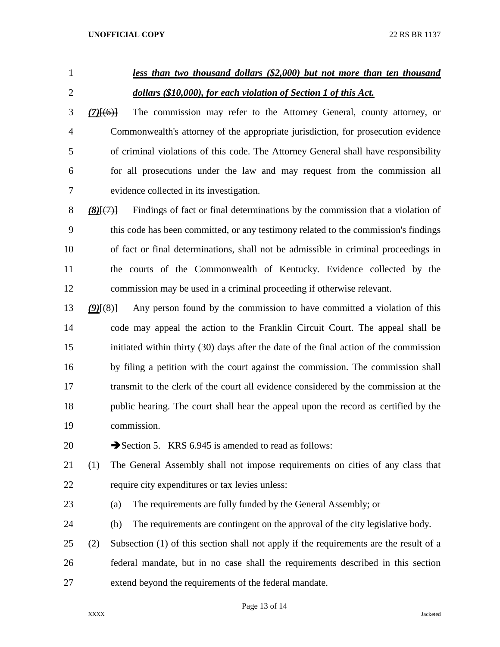# *less than two thousand dollars (\$2,000) but not more than ten thousand dollars (\$10,000), for each violation of Section 1 of this Act.*

 *(7)*[(6)] The commission may refer to the Attorney General, county attorney, or Commonwealth's attorney of the appropriate jurisdiction, for prosecution evidence of criminal violations of this code. The Attorney General shall have responsibility for all prosecutions under the law and may request from the commission all evidence collected in its investigation.

 *(8)*[(7)] Findings of fact or final determinations by the commission that a violation of this code has been committed, or any testimony related to the commission's findings of fact or final determinations, shall not be admissible in criminal proceedings in the courts of the Commonwealth of Kentucky. Evidence collected by the commission may be used in a criminal proceeding if otherwise relevant.

 *(9)*[(8)] Any person found by the commission to have committed a violation of this code may appeal the action to the Franklin Circuit Court. The appeal shall be initiated within thirty (30) days after the date of the final action of the commission by filing a petition with the court against the commission. The commission shall transmit to the clerk of the court all evidence considered by the commission at the public hearing. The court shall hear the appeal upon the record as certified by the commission.

20  $\rightarrow$  Section 5. KRS 6.945 is amended to read as follows:

 (1) The General Assembly shall not impose requirements on cities of any class that require city expenditures or tax levies unless:

(a) The requirements are fully funded by the General Assembly; or

(b) The requirements are contingent on the approval of the city legislative body.

 (2) Subsection (1) of this section shall not apply if the requirements are the result of a federal mandate, but in no case shall the requirements described in this section extend beyond the requirements of the federal mandate.